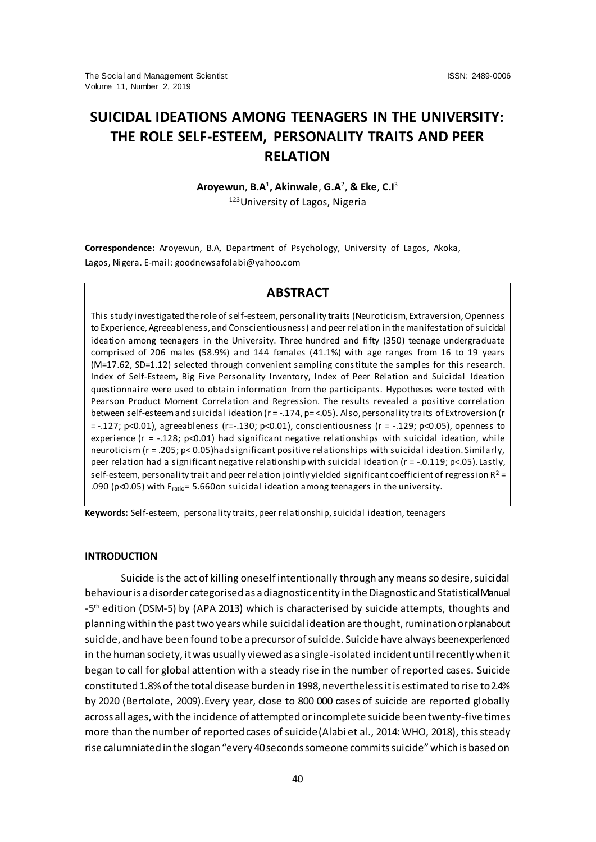# **SUICIDAL IDEATIONS AMONG TEENAGERS IN THE UNIVERSITY: THE ROLE SELF-ESTEEM, PERSONALITY TRAITS AND PEER RELATION**

**Aroyewun**, **B.A**<sup>1</sup> **, Akinwale**, **G.A**<sup>2</sup> , **& Eke**, **C.I**<sup>3</sup>

123 University of Lagos, Nigeria

**Correspondence:** Aroyewun, B.A, Department of Psychology, University of Lagos, Akoka, Lagos, Nigera. E-mail: goodnewsafolabi@yahoo.com

# **ABSTRACT**

This study investigated the role of self-esteem, personality traits (Neuroticism, Extraversion, Openness to Experience, Agreeableness, and Conscientiousness) and peer relation in the manifestation of suicidal ideation among teenagers in the University. Three hundred and fifty (350) teenage undergraduate comprised of 206 males (58.9%) and 144 females (41.1%) with age ranges from 16 to 19 years (M=17.62, SD=1.12) selected through convenient sampling constitute the samples for this research. Index of Self-Esteem, Big Five Personality Inventory, Index of Peer Relation and Suicidal Ideation questionnaire were used to obtain information from the participants. Hypotheses were tested with Pearson Product Moment Correlation and Regression. The results revealed a positive correlation between self-esteem and suicidal ideation (r = -.174, p= <.05). Also, personality traits of Extroversion (r = -.127; p<0.01), agreeableness (r=-.130; p<0.01), conscientiousness (r = -.129; p<0.05), openness to experience ( $r = -0.128$ ; p<0.01) had significant negative relationships with suicidal ideation, while neuroticism (r = .205; p< 0.05)had significant positive relationships with suicidal ideation. Similarly, peer relation had a significant negative relationship with suicidal ideation (r = -.0.119; p<.05). Lastly, self-esteem, personality trait and peer relation jointly yielded significant coefficient of regression  $R^2$  = .090 (p<0.05) with Fratio= 5.660on suicidal ideation among teenagers in the university.

**Keywords:** Self-esteem, personality traits, peer relationship, suicidal ideation, teenagers

### **INTRODUCTION**

Suicide is the act of killing oneself intentionally through any means so desire, suicidal behaviour is a disorder categorised as a diagnostic entity in the Diagnostic and Statistical Manual -5<sup>th</sup> edition (DSM-5) by (APA 2013) which is characterised by suicide attempts, thoughts and planning within the past two years while suicidal ideation are thought, rumination or plan about suicide, and have been found to be a precursor of suicide. Suicide have always been experienced in the human society, it was usually viewed as a single-isolated incident until recently when it began to call for global attention with a steady rise in the number of reported cases. Suicide constituted 1.8% of the total disease burden in 1998, nevertheless it is estimated to rise to 2.4% by 2020 (Bertolote, 2009).Every year, close to 800 000 cases of suicide are reported globally across all ages, with the incidence of attempted or incomplete suicide been twenty-five times more than the number of reported cases of suicide(Alabi et al., 2014: WHO, 2018), this steady rise calumniated in the slogan "every 40 seconds someone commits suicide" which is based on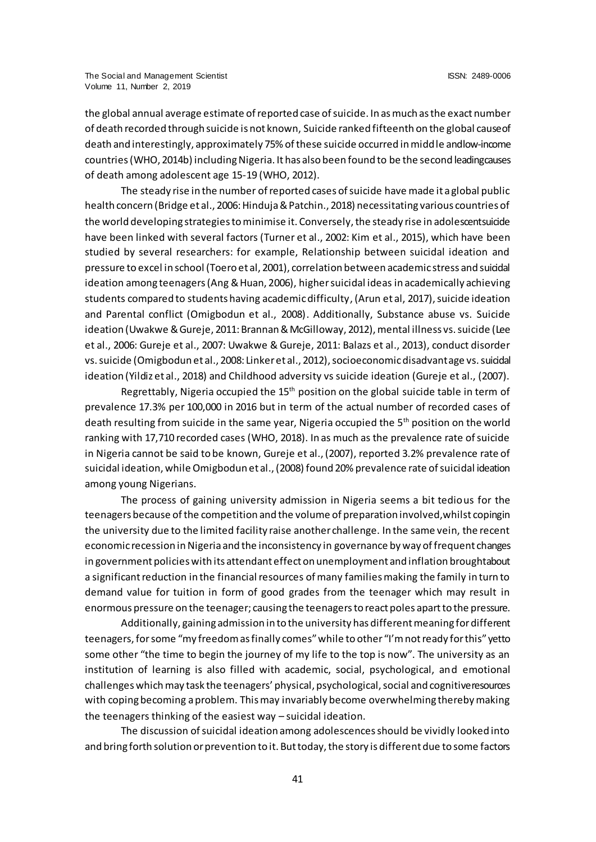the global annual average estimate of reported case of suicide. In as much as the exact number of death recorded through suicide is not known, Suicide ranked fifteenth on the global cause of death and interestingly, approximately 75% of these suicide occurred in middle and low-income countries (WHO, 2014b) including Nigeria. It has also been found to be the second leading causes of death among adolescent age 15-19 (WHO, 2012).

The steady rise in the number of reported cases of suicide have made it a global public health concern (Bridge et al., 2006: Hinduja & Patchin., 2018) necessitating various countries of the world developing strategies to minimise it. Conversely, the steady rise in adolescent suicide have been linked with several factors (Turner et al., 2002: Kim et al., 2015), which have been studied by several researchers: for example, Relationship between suicidal ideation and pressure to excel in school (Toero et al, 2001), correlation between academic stress and suicidal ideation among teenagers (Ang & Huan, 2006), highersuicidal ideas in academically achieving students compared to students having academic difficulty, (Arun et al, 2017), suicide ideation and Parental conflict (Omigbodun et al., 2008). Additionally, Substance abuse vs. Suicide ideation (Uwakwe & Gureje, 2011: Brannan & McGilloway, 2012), mental illness vs. suicide (Lee et al., 2006: Gureje et al., 2007: Uwakwe & Gureje, 2011: Balazs et al., 2013), conduct disorder vs. suicide (Omigbodun et al., 2008: Linker et al., 2012), socioeconomic disadvantage vs. suicidal ideation (Yildiz et al., 2018) and Childhood adversity vs suicide ideation (Gureje et al., (2007).

Regrettably, Nigeria occupied the  $15<sup>th</sup>$  position on the global suicide table in term of prevalence 17.3% per 100,000 in 2016 but in term of the actual number of recorded cases of death resulting from suicide in the same year, Nigeria occupied the  $5<sup>th</sup>$  position on the world ranking with 17,710 recorded cases (WHO, 2018). In as much as the prevalence rate of suicide in Nigeria cannot be said to be known, Gureje et al., (2007), reported 3.2% prevalence rate of suicidal ideation, while Omigbodun et al., (2008) found 20% prevalence rate of suicidal ideation among young Nigerians.

The process of gaining university admission in Nigeria seems a bit tedious for the teenagers because of the competition and the volume of preparation involved, whilst coping in the university due to the limited facility raise another challenge. In the same vein, the recent economic recession in Nigeria and the inconsistency in governance by way of frequent changes in government policies with its attendant effect on unemployment and inflation broughtabout a significant reduction in the financial resources of many families making the family in turn to demand value for tuition in form of good grades from the teenager which may result in enormous pressure on the teenager; causing the teenagers to react poles apart to the pressure.

Additionally, gaining admission in to the university has different meaning for different teenagers, for some "my freedom as finally comes" while to other "I'm not ready for this" yetto some other "the time to begin the journey of my life to the top is now". The university as an institution of learning is also filled with academic, social, psychological, and emotional challenges which may task the teenagers' physical, psychological, social and cognitive resources with coping becoming a problem. This may invariably become overwhelming thereby making the teenagers thinking of the easiest way – suicidal ideation.

The discussion of suicidal ideation among adolescences should be vividly looked into and bring forth solution or prevention to it. But today, the story is different due to some factors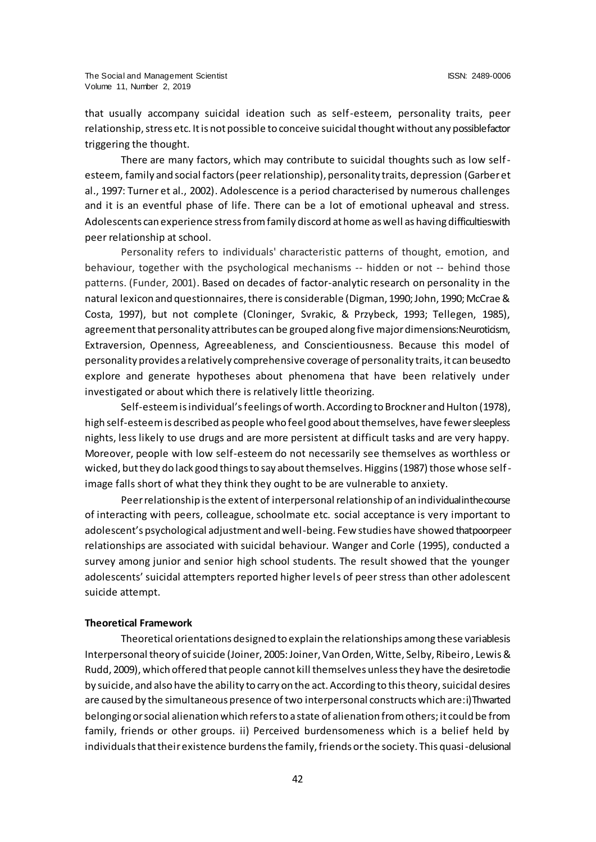that usually accompany suicidal ideation such as self-esteem, personality traits, peer relationship, stress etc. It is not possible to conceive suicidal thought without any possible factor triggering the thought.

There are many factors, which may contribute to suicidal thoughts such as low selfesteem, family and social factors (peer relationship), personality traits, depression (Garber et al., 1997: Turner et al., 2002). Adolescence is a period characterised by numerous challenges and it is an eventful phase of life. There can be a lot of emotional upheaval and stress. Adolescents can experience stress from family discord at home as well as having difficulties with peer relationship at school.

Personality refers to individuals' characteristic patterns of thought, emotion, and behaviour, together with the psychological mechanisms -- hidden or not -- behind those patterns. (Funder, 2001). Based on decades of factor-analytic research on personality in the natural lexicon and questionnaires, there is considerable (Digman, 1990; John, 1990; McCrae & Costa, 1997), but not complete (Cloninger, Svrakic, & Przybeck, 1993; Tellegen, 1985), agreement that personality attributes can be grouped along five major dimensions: Neuroticism, Extraversion, Openness, Agreeableness, and Conscientiousness. Because this model of personality provides a relatively comprehensive coverage of personality traits, it can be used to explore and generate hypotheses about phenomena that have been relatively under investigated or about which there is relatively little theorizing.

Self-esteem is individual's feelings of worth. According to Brockner and Hulton (1978), high self-esteem is described as people who feel good about themselves, have fewer sleepless nights, less likely to use drugs and are more persistent at difficult tasks and are very happy. Moreover, people with low self-esteem do not necessarily see themselves as worthless or wicked, but they do lack good things to say about themselves. Higgins (1987) those whose selfimage falls short of what they think they ought to be are vulnerable to anxiety.

Peer relationship is the extent of interpersonal relationship of an individual in the course of interacting with peers, colleague, schoolmate etc. social acceptance is very important to adolescent's psychological adjustment and well-being. Few studies have showed that poor peer relationships are associated with suicidal behaviour. Wanger and Corle (1995), conducted a survey among junior and senior high school students. The result showed that the younger adolescents' suicidal attempters reported higher levels of peer stress than other adolescent suicide attempt.

#### **Theoretical Framework**

Theoretical orientations designed to explain the relationships among these variablesis Interpersonal theory of suicide (Joiner, 2005: Joiner, Van Orden, Witte, Selby, Ribeiro, Lewis & Rudd, 2009), which offered that people cannot kill themselves unless they have the desire to die by suicide, and also have the ability to carry on the act. According to this theory, suicidal desires are caused by the simultaneous presence of two interpersonal constructs which are: i) Thwarted belonging or social alienation which refers to a state of alienation from others; it could be from family, friends or other groups. ii) Perceived burdensomeness which is a belief held by individuals that their existence burdens the family, friends or the society. This quasi-delusional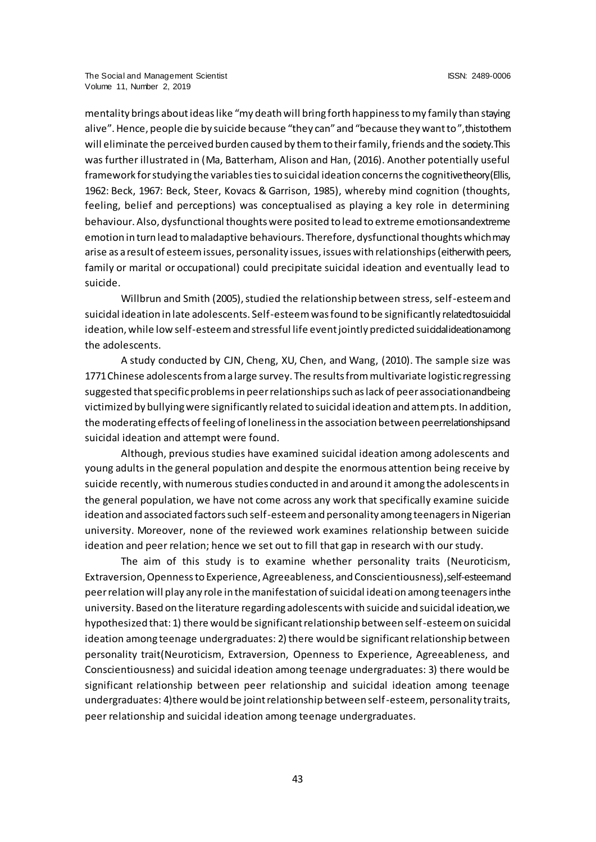mentality brings about ideas like "my death will bring forth happiness to my family than staying alive". Hence, people die by suicide because "they can" and "because they want to", this to them will eliminate the perceived burden caused by them to their family, friends and the society. This was further illustrated in (Ma, Batterham, Alison and Han, (2016). Another potentially useful framework for studying the variables ties to suicidal ideation concerns the cognitive theory (Ellis, 1962: Beck, 1967: Beck, Steer, Kovacs & Garrison, 1985), whereby mind cognition (thoughts, feeling, belief and perceptions) was conceptualised as playing a key role in determining behaviour. Also, dysfunctional thoughts were posited to lead to extreme emotions and extreme emotion in turn lead to maladaptive behaviours. Therefore, dysfunctional thoughts which may arise as a result of esteem issues, personality issues, issues with relationships (either with peers, family or marital or occupational) could precipitate suicidal ideation and eventually lead to suicide.

Willbrun and Smith (2005), studied the relationship between stress, self-esteem and suicidal ideation in late adolescents. Self-esteem was found to be significantly related to suicidal ideation, while low self-esteem and stressful life event jointly predicted suicidal ideation among the adolescents.

A study conducted by CJN, Cheng, XU, Chen, and Wang, (2010). The sample size was 1771 Chinese adolescents from a large survey. The results from multivariate logistic regressing suggested that specific problems in peer relationships such as lack of peer association and being victimized by bullying were significantly related to suicidal ideation and attempts. In addition, the moderating effects of feeling of loneliness in the association between peerrelationships and suicidal ideation and attempt were found.

Although, previous studies have examined suicidal ideation among adolescents and young adults in the general population and despite the enormous attention being receive by suicide recently, with numerous studies conducted in and around it among the adolescents in the general population, we have not come across any work that specifically examine suicide ideation and associated factors such self-esteem and personality among teenagers in Nigerian university. Moreover, none of the reviewed work examines relationship between suicide ideation and peer relation; hence we set out to fill that gap in research with our study.

The aim of this study is to examine whether personality traits (Neuroticism, Extraversion, Openness to Experience, Agreeableness, and Conscientiousness), self-esteem and peer relation will play any role in the manifestation of suicidal ideation among teenagers in the university. Based on the literature regarding adolescents with suicide and suicidal ideation, we hypothesized that: 1) there would be significant relationship between self-esteem on suicidal ideation among teenage undergraduates: 2) there would be significant relationship between personality trait(Neuroticism, Extraversion, Openness to Experience, Agreeableness, and Conscientiousness) and suicidal ideation among teenage undergraduates: 3) there would be significant relationship between peer relationship and suicidal ideation among teenage undergraduates: 4)there would be joint relationship between self-esteem, personality traits, peer relationship and suicidal ideation among teenage undergraduates.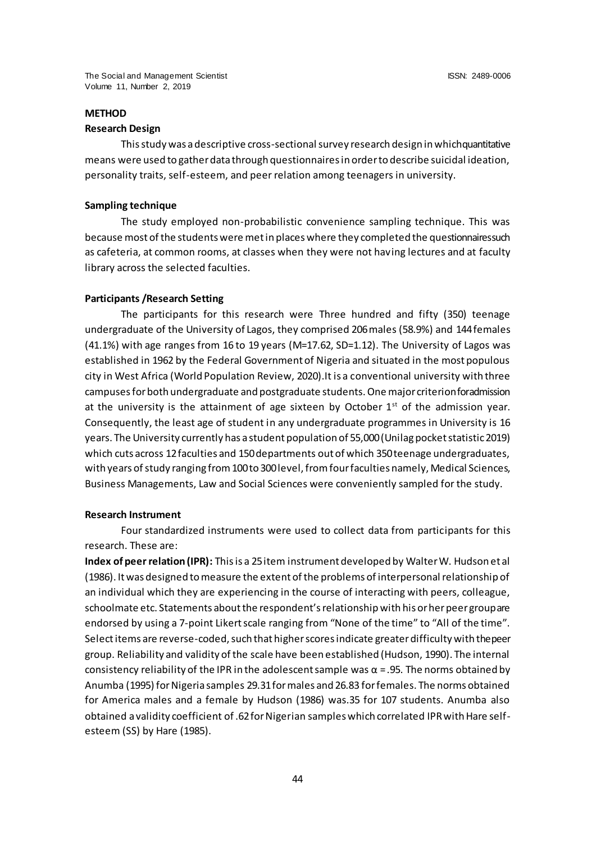# **METHOD**

#### **Research Design**

This study was a descriptive cross-sectional survey research design in which quantitative means were used to gather data through questionnaires in order to describe suicidal ideation, personality traits, self-esteem, and peer relation among teenagers in university.

#### **Sampling technique**

The study employed non-probabilistic convenience sampling technique. This was because most of the students were met in places where they completed the questionnaires such as cafeteria, at common rooms, at classes when they were not having lectures and at faculty library across the selected faculties.

#### **Participants /Research Setting**

The participants for this research were Three hundred and fifty (350) teenage undergraduate of the University of Lagos, they comprised 206 males (58.9%) and 144 females (41.1%) with age ranges from 16 to 19 years (M=17.62, SD=1.12). The University of Lagos was established in 1962 by the Federal Government of Nigeria and situated in the most populous city in West Africa (World Population Review, 2020).It is a conventional university with three campuses for both undergraduate and postgraduate students. One major criterion for admission at the university is the attainment of age sixteen by October  $1<sup>st</sup>$  of the admission year. Consequently, the least age of student in any undergraduate programmes in University is 16 years. The University currently has a student population of 55,000 (Unilag pocket statistic 2019) which cuts across 12 faculties and 150 departments out of which 350 teenage undergraduates, with years of study ranging from 100 to 300 level, from four faculties namely, Medical Sciences, Business Managements, Law and Social Sciences were conveniently sampled for the study.

#### **Research Instrument**

Four standardized instruments were used to collect data from participants for this research. These are:

**Index of peer relation (IPR):** This is a 25 item instrument developed by Walter W. Hudson et al (1986). It was designed to measure the extent of the problems of interpersonal relationship of an individual which they are experiencing in the course of interacting with peers, colleague, schoolmate etc. Statements about the respondent's relationship with his or her peer group are endorsed by using a 7-point Likert scale ranging from "None of the time" to "All of the time". Select items are reverse-coded, such that higher scores indicate greater difficulty with the peer group. Reliability and validity of the scale have been established (Hudson, 1990). The internal consistency reliability of the IPR in the adolescent sample was  $\alpha$  = .95. The norms obtained by Anumba (1995) for Nigeria samples 29.31 for males and 26.83 for females. The norms obtained for America males and a female by Hudson (1986) was.35 for 107 students. Anumba also obtained a validity coefficient of .62 for Nigerian samples which correlated IPR with Hare selfesteem (SS) by Hare (1985).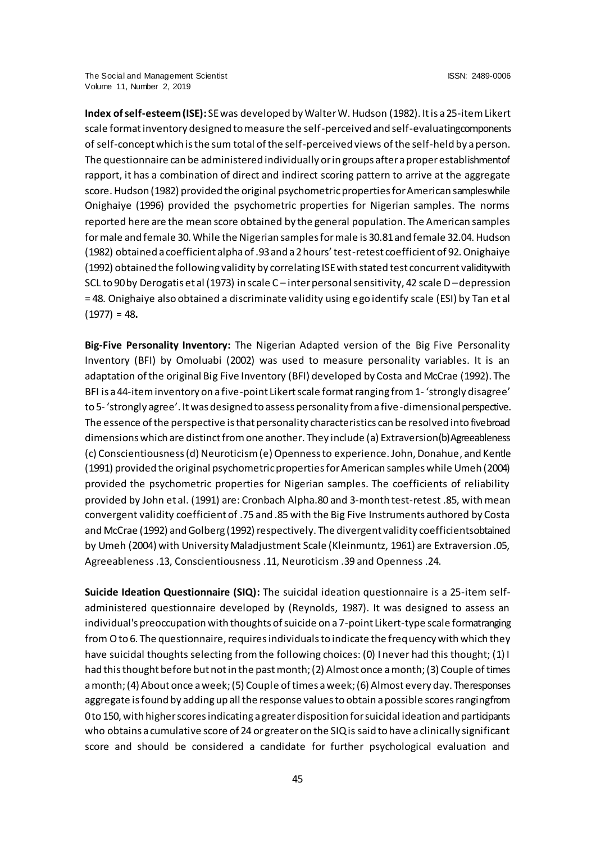**Index of self-esteem (ISE):** SE was developed by Walter W. Hudson (1982). It is a 25-item Likert scale format inventory designed to measure the self-perceived and self-evaluating components of self-concept which is the sum total of the self-perceived views of the self-held by a person. The questionnaire can be administered individually or in groups after a proper establishment of rapport, it has a combination of direct and indirect scoring pattern to arrive at the aggregate score. Hudson (1982) provided the original psychometric properties for American samples while Onighaiye (1996) provided the psychometric properties for Nigerian samples. The norms reported here are the mean score obtained by the general population. The American samples for male and female 30. While the Nigerian samples for male is 30.81 and female 32.04. Hudson (1982) obtained a coefficient alpha of .93 and a 2 hours' test-retest coefficient of 92. Onighaiye (1992) obtained the following validity by correlating ISE with stated test concurrent validity with SCL to 90 by Derogatis et al (1973) in scale C – inter personal sensitivity, 42 scale D –depression = 48. Onighaiye also obtained a discriminate validity using ego identify scale (ESI) by Tan et al (1977) = 48**.**

**Big-Five Personality Inventory:** The Nigerian Adapted version of the Big Five Personality Inventory (BFI) by Omoluabi (2002) was used to measure personality variables. It is an adaptation of the original Big Five Inventory (BFI) developed by Costa and McCrae (1992). The BFI is a 44-item inventory on a five-point Likert scale format ranging from 1- 'strongly disagree' to 5- 'strongly agree'. It was designed to assess personality from a five-dimensional perspective. The essence of the perspective is that personality characteristics can be resolved into five broad dimensions which are distinct from one another. They include (a) Extraversion (b) Agreeableness (c) Conscientiousness (d) Neuroticism (e) Openness to experience. John, Donahue, and Kentle (1991) provided the original psychometric properties for American samples while Umeh (2004) provided the psychometric properties for Nigerian samples. The coefficients of reliability provided by John et al. (1991) are: Cronbach Alpha.80 and 3-month test-retest .85, with mean convergent validity coefficient of .75 and .85 with the Big Five Instruments authored by Costa and McCrae (1992) and Golberg (1992) respectively. The divergent validity coefficients obtained by Umeh (2004) with University Maladjustment Scale (Kleinmuntz, 1961) are Extraversion .05, Agreeableness .13, Conscientiousness .11, Neuroticism .39 and Openness .24.

**Suicide Ideation Questionnaire (SIQ):** The suicidal ideation questionnaire is a 25-item selfadministered questionnaire developed by (Reynolds, 1987). It was designed to assess an individual's preoccupation with thoughts of suicide on a 7-point Likert-type scale formatranging from O to 6. The questionnaire, requires individuals to indicate the frequency with which they have suicidal thoughts selecting from the following choices: (0) I never had this thought; (1) I had this thought before but not in the past month; (2) Almost once a month; (3) Couple of times a month; (4) About once a week; (5) Couple of times a week; (6) Almost every day. The responses aggregate is found by adding up all the response values to obtain a possible scores ranging from 0 to 150, with higher scores indicating a greater disposition for suicidal ideation and participants who obtains a cumulative score of 24 or greater on the SIQ is said to have a clinically significant score and should be considered a candidate for further psychological evaluation and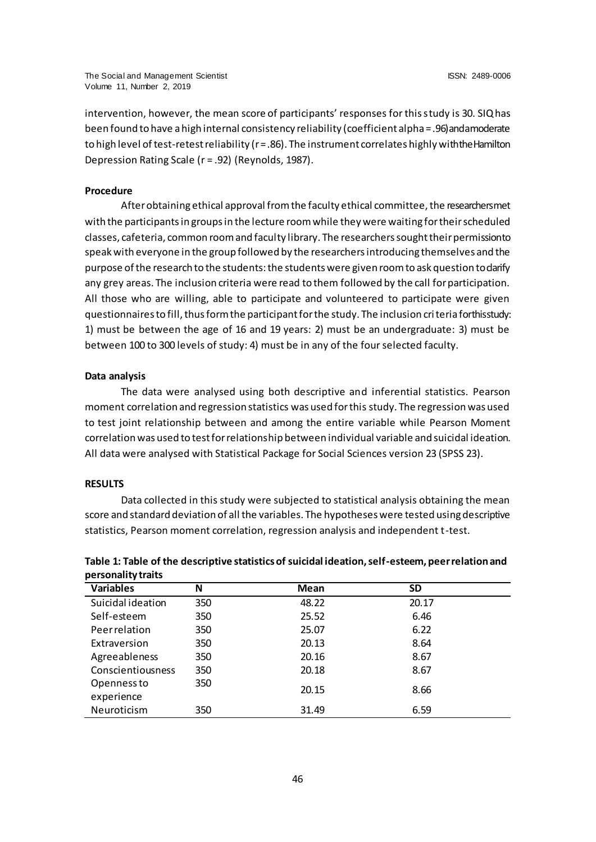intervention, however, the mean score of participants' responses for this study is 30. SIQ has been found to have a high internal consistency reliability (coefficient alpha = .96) and a moderate to high level of test-retest reliability (r = .86). The instrument correlates highly with the Hamilton Depression Rating Scale (r = .92) (Reynolds, 1987).

#### **Procedure**

After obtaining ethical approval from the faculty ethical committee, the researchersmet with the participants in groups in the lecture room while they were waiting for their scheduled classes, cafeteria, common room and faculty library. The researchers sought their permission to speak with everyone in the group followed by the researchers introducing themselves and the purpose of the research to the students: the students were given room to ask question to darify any grey areas. The inclusion criteria were read to them followed by the call for participation. All those who are willing, able to participate and volunteered to participate were given questionnaires to fill, thus form the participant for the study. The inclusion criteria for this study: 1) must be between the age of 16 and 19 years: 2) must be an undergraduate: 3) must be between 100 to 300 levels of study: 4) must be in any of the four selected faculty.

#### **Data analysis**

The data were analysed using both descriptive and inferential statistics. Pearson moment correlation and regression statistics was used for this study. The regression was used to test joint relationship between and among the entire variable while Pearson Moment correlation was used to test for relationship between individual variable and suicidal ideation. All data were analysed with Statistical Package for Social Sciences version 23 (SPSS 23).

#### **RESULTS**

Openness to experience

Data collected in this study were subjected to statistical analysis obtaining the mean score and standard deviation of all the variables. The hypotheses were tested using descriptive statistics, Pearson moment correlation, regression analysis and independent t-test.

| personality traits |     |       |       |  |  |  |  |
|--------------------|-----|-------|-------|--|--|--|--|
| <b>Variables</b>   | N   | Mean  | SD    |  |  |  |  |
| Suicidal ideation  | 350 | 48.22 | 20.17 |  |  |  |  |
| Self-esteem        | 350 | 25.52 | 6.46  |  |  |  |  |
| Peerrelation       | 350 | 25.07 | 6.22  |  |  |  |  |
| Extraversion       | 350 | 20.13 | 8.64  |  |  |  |  |
| Agreeableness      | 350 | 20.16 | 8.67  |  |  |  |  |

<sup>350</sup> 20.15 8.66

Conscientiousness 350 20.18 8.67

Neuroticism 350 31.49 6.59

# **Table 1: Table of the descriptive statistics of suicidal ideation, self-esteem, peer relation and personality traits**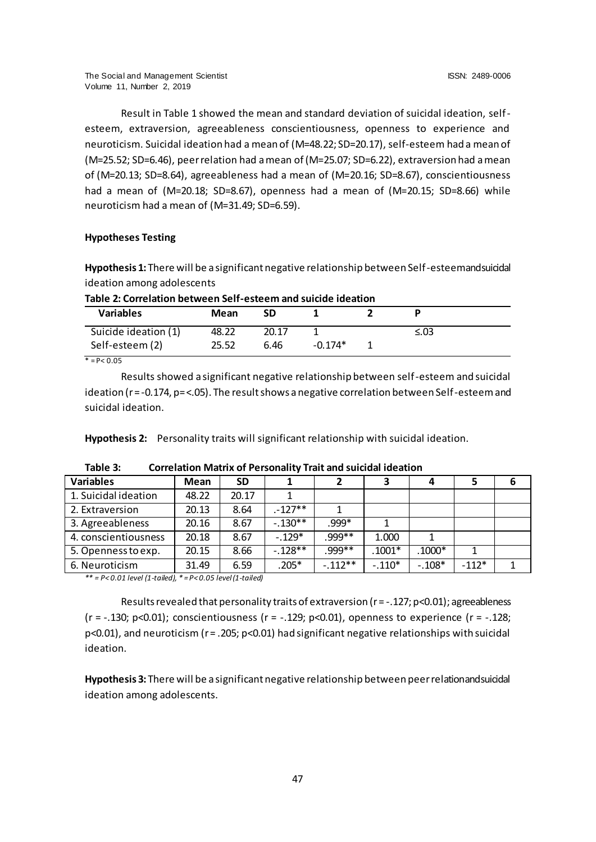Result in Table 1 showed the mean and standard deviation of suicidal ideation, selfesteem, extraversion, agreeableness conscientiousness, openness to experience and neuroticism. Suicidal ideation had a mean of (M=48.22; SD=20.17), self-esteem had a mean of (M=25.52; SD=6.46), peer relation had a mean of (M=25.07; SD=6.22), extraversion had a mean of (M=20.13; SD=8.64), agreeableness had a mean of (M=20.16; SD=8.67), conscientiousness had a mean of (M=20.18; SD=8.67), openness had a mean of (M=20.15; SD=8.66) while neuroticism had a mean of (M=31.49; SD=6.59).

# **Hypotheses Testing**

Hypothesis 1: There will be a significant negative relationship between Self-esteem and suicidal ideation among adolescents

| Table 2: Correlation between Self-esteem and suicide ideation |  |
|---------------------------------------------------------------|--|
|---------------------------------------------------------------|--|

| <b>Variables</b>          | Mean  | SD    |           |      |  |
|---------------------------|-------|-------|-----------|------|--|
| Suicide ideation (1)      | 48.22 | 20.17 |           | ≤.03 |  |
| Self-esteem (2)           | 25.52 | 6.46  | $-0.174*$ |      |  |
| $* - D \times O$ $\Omega$ |       |       |           |      |  |

 $= P < 0.05$ 

Results showed a significant negative relationship between self-esteem and suicidal ideation (r = -0.174, p= <.05). The result shows a negative correlation between Self-esteem and suicidal ideation.

**Hypothesis 2:** Personality traits will significant relationship with suicidal ideation.

| <b>Variables</b>     | Mean  | <b>SD</b> |           |           | 3        |          | 5       | 6 |
|----------------------|-------|-----------|-----------|-----------|----------|----------|---------|---|
| 1. Suicidal ideation | 48.22 | 20.17     |           |           |          |          |         |   |
| 2. Extraversion      | 20.13 | 8.64      | $-127**$  |           |          |          |         |   |
| 3. Agreeableness     | 20.16 | 8.67      | $-.130**$ | .999*     |          |          |         |   |
| 4. conscientiousness | 20.18 | 8.67      | $-.129*$  | .999**    | 1.000    |          |         |   |
| 5. Openness to exp.  | 20.15 | 8.66      | $-.128**$ | .999**    | $.1001*$ | $.1000*$ | 1       |   |
| 6. Neuroticism       | 31.49 | 6.59      | $.205*$   | $-.112**$ | $-.110*$ | $-.108*$ | $-112*$ |   |

**Table 3: Correlation Matrix of Personality Trait and suicidal ideation**

*\*\* = P< 0.01 level (1-tailed), \* = P< 0.05 level (1-tailed)*

Results revealed that personality traits of extraversion ( $r = -.127$ ; p<0.01); agreeableness (r = -.130; p<0.01); conscientiousness (r = -.129; p<0.01), openness to experience (r = -.128;  $p$ <0.01), and neuroticism (r = .205;  $p$ <0.01) had significant negative relationships with suicidal ideation.

Hypothesis 3: There will be a significant negative relationship between peer relationand suicidal ideation among adolescents.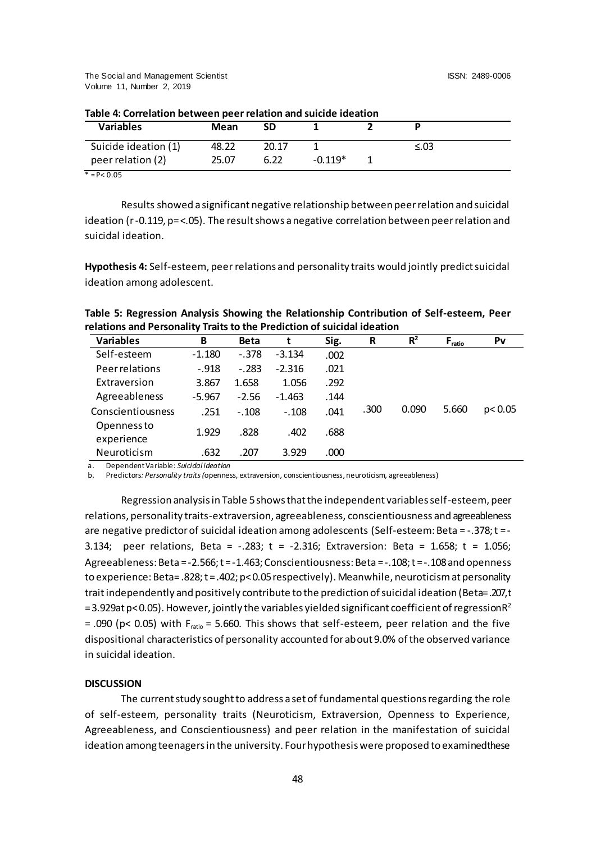The Social and Management Scientist ISSN: 2489-0006 Volume 11, Number 2, 2019

| <b>Variables</b>     | Mean  | SD    |           |  |      |  |  |
|----------------------|-------|-------|-----------|--|------|--|--|
| Suicide ideation (1) | 48.22 | 20.17 |           |  | ≤.03 |  |  |
| peer relation (2)    | 25.07 | 6.22  | $-0.119*$ |  |      |  |  |

 $* = P < 0.05$ 

Results showed a significant negative relationship between peer relation and suicidal ideation (r -0.119, p= <.05). The result shows a negative correlation between peer relation and suicidal ideation.

**Hypothesis 4:** Self-esteem, peer relations and personality traits would jointly predict suicidal ideation among adolescent.

| Table 5: Regression Analysis Showing the Relationship Contribution of Self-esteem, Peer |
|-----------------------------------------------------------------------------------------|
| relations and Personality Traits to the Prediction of suicidal ideation                 |

| <b>Variables</b>          | B        | <b>Beta</b> |          | Sig. | R    | $R^2$ | $F_{\text{ratio}}$ | Pv       |
|---------------------------|----------|-------------|----------|------|------|-------|--------------------|----------|
| Self-esteem               | $-1.180$ | $-.378$     | $-3.134$ | .002 |      |       |                    |          |
| Peerrelations             | $-.918$  | $-.283$     | $-2.316$ | .021 |      |       |                    |          |
| Extraversion              | 3.867    | 1.658       | 1.056    | .292 |      |       |                    |          |
| Agreeableness             | $-5.967$ | $-2.56$     | $-1.463$ | .144 |      |       |                    |          |
| Conscientiousness         | .251     | $-.108$     | $-.108$  | .041 | .300 | 0.090 | 5.660              | p < 0.05 |
| Openness to<br>experience | 1.929    | .828        | .402     | .688 |      |       |                    |          |
| Neuroticism               | .632     | .207        | 3.929    | .000 |      |       |                    |          |

a. Dependent Variable: *Suicidal ideation*

b. Predictors*: Personality traits (*openness, extraversion, conscientiousness, neuroticism, agreeableness)

Regression analysis in Table 5shows that the independent variables self-esteem, peer relations, personality traits-extraversion, agreeableness, conscientiousness and agreeableness are negative predictor of suicidal ideation among adolescents (Self-esteem: Beta = -.378; t = - 3.134; peer relations, Beta =  $-.283$ ; t =  $-.2.316$ ; Extraversion: Beta = 1.658; t = 1.056; Agreeableness: Beta = -2.566; t = -1.463; Conscientiousness: Beta = -.108; t = -.108 and openness to experience: Beta= .828; t = .402; p<0.05 respectively). Meanwhile, neuroticism at personality trait independently and positively contribute to the prediction of suicidal ideation (Beta= .207, t = 3.929at p< 0.05). However, jointly the variables yielded significant coefficient of regression  $R^2$ = .090 (p< 0.05) with  $F_{ratio}$  = 5.660. This shows that self-esteem, peer relation and the five dispositional characteristics of personality accounted for about 9.0% of the observed variance in suicidal ideation.

#### **DISCUSSION**

The current study sought to address a set of fundamental questions regarding the role of self-esteem, personality traits (Neuroticism, Extraversion, Openness to Experience, Agreeableness, and Conscientiousness) and peer relation in the manifestation of suicidal ideation among teenagers in the university. Four hypothesis were proposed to examined these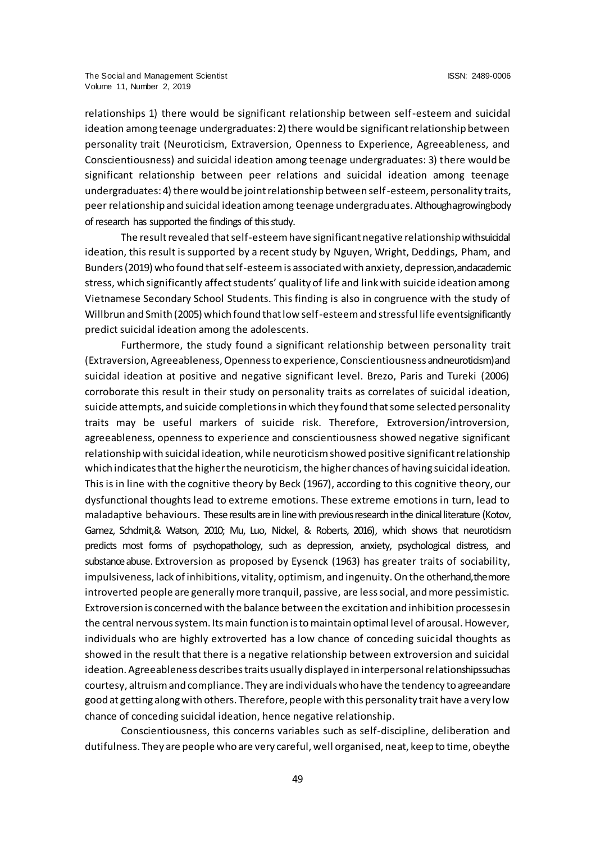relationships 1) there would be significant relationship between self-esteem and suicidal ideation among teenage undergraduates: 2) there would be significant relationship between personality trait (Neuroticism, Extraversion, Openness to Experience, Agreeableness, and Conscientiousness) and suicidal ideation among teenage undergraduates: 3) there would be significant relationship between peer relations and suicidal ideation among teenage undergraduates: 4) there would be joint relationship between self-esteem, personality traits, peer relationship and suicidal ideation among teenage undergraduates. Although a growing body of research has supported the findings of this study.

The result revealed that self-esteem have significant negative relationship with suicidal ideation, this result is supported by a recent study by Nguyen, Wright, Deddings, Pham, and Bunders (2019) who found that self-esteem is associated with anxiety, depression, and academic stress, which significantly affect students' quality of life and link with suicide ideation among Vietnamese Secondary School Students. This finding is also in congruence with the study of Willbrun and Smith (2005) which found that low self-esteem and stressful life event significantly predict suicidal ideation among the adolescents.

Furthermore, the study found a significant relationship between personality trait (Extraversion, Agreeableness, Openness to experience, Conscientiousness and neuroticism) and suicidal ideation at positive and negative significant level. Brezo, Paris and Tureki (2006) corroborate this result in their study on personality traits as correlates of suicidal ideation, suicide attempts, and suicide completions in which they found that some selected personality traits may be useful markers of suicide risk. Therefore, Extroversion/introversion, agreeableness, openness to experience and conscientiousness showed negative significant relationship with suicidal ideation, while neuroticism showed positive significant relationship which indicates that the higher the neuroticism, the higher chances of having suicidal ideation. This is in line with the cognitive theory by Beck (1967), according to this cognitive theory, our dysfunctional thoughts lead to extreme emotions. These extreme emotions in turn, lead to maladaptive behaviours. These results are in line with previous research in the clinical literature (Kotov, Gamez, Schdmit,& Watson, 2010; Mu, Luo, Nickel, & Roberts, 2016), which shows that neuroticism predicts most forms of psychopathology, such as depression, anxiety, psychological distress, and substance abuse. Extroversion as proposed by Eysenck (1963) has greater traits of sociability, impulsiveness, lack of inhibitions, vitality, optimism, and ingenuity. On the other hand, the more introverted people are generally more tranquil, passive, are less social, and more pessimistic. Extroversion is concerned with the balance between the excitation and inhibition processes in the central nervous system. Its main function is to maintain optimal level of arousal. However, individuals who are highly extroverted has a low chance of conceding suicidal thoughts as showed in the result that there is a negative relationship between extroversion and suicidal ideation. Agreeableness describes traits usually displayed in interpersonal relationships such as courtesy, altruism and compliance. They are individuals who have the tendency to agree and are good at getting along with others. Therefore, people with this personality trait have a very low chance of conceding suicidal ideation, hence negative relationship.

Conscientiousness, this concerns variables such as self-discipline, deliberation and dutifulness. They are people who are very careful, well organised, neat, keep to time, obey the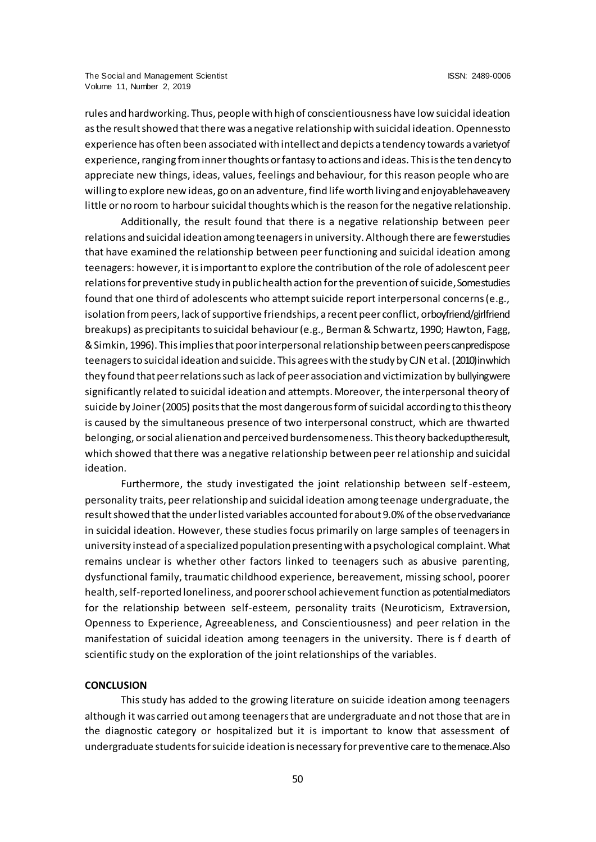rules and hardworking. Thus, people with high of conscientiousness have low suicidal ideation as the result showed that there was a negative relationship with suicidal ideation. Openness to experience has often been associated with intellect and depicts a tendency towards a variety of experience, ranging from inner thoughts or fantasy to actions and ideas. This is the tendency to appreciate new things, ideas, values, feelings and behaviour, for this reason people who are willing to explore new ideas, go on an adventure, find life worth living and enjoyable have a very little or no room to harbour suicidal thoughts which is the reason for the negative relationship.

Additionally, the result found that there is a negative relationship between peer relations and suicidal ideation among teenagers in university. Although there are fewer studies that have examined the relationship between peer functioning and suicidal ideation among teenagers: however, it is important to explore the contribution of the role of adolescent peer relations for preventive study in public health action for the prevention of suicide, Some studies found that one third of adolescents who attempt suicide report interpersonal concerns (e.g., isolation from peers, lack of supportive friendships, a recent peer conflict, or boyfriend/girlfriend breakups) as precipitants to suicidal behaviour (e.g., Berman & Schwartz, 1990; Hawton, Fagg, & Simkin, 1996). This implies that poor interpersonal relationship between peers can predispose teenagers to suicidal ideation and suicide. This agrees with the study by CJN et al. (2010) in which they found that peer relations such as lack of peer association and victimization by bullying were significantly related to suicidal ideation and attempts. Moreover, the interpersonal theory of suicide by Joiner (2005) posits that the most dangerous form of suicidal according to this theory is caused by the simultaneous presence of two interpersonal construct, which are thwarted belonging, or social alienation and perceived burdensomeness. This theory backed up the result, which showed that there was a negative relationship between peer relationship and suicidal ideation.

Furthermore, the study investigated the joint relationship between self-esteem, personality traits, peer relationship and suicidal ideation among teenage undergraduate, the result showed that the under listed variables accounted for about 9.0% of the observed variance in suicidal ideation. However, these studies focus primarily on large samples of teenagers in university instead of a specialized population presenting with a psychological complaint. What remains unclear is whether other factors linked to teenagers such as abusive parenting, dysfunctional family, traumatic childhood experience, bereavement, missing school, poorer health, self-reported loneliness, and poorer school achievement function as potential mediators for the relationship between self-esteem, personality traits (Neuroticism, Extraversion, Openness to Experience, Agreeableness, and Conscientiousness) and peer relation in the manifestation of suicidal ideation among teenagers in the university. There is f dearth of scientific study on the exploration of the joint relationships of the variables.

#### **CONCLUSION**

This study has added to the growing literature on suicide ideation among teenagers although it was carried out among teenagers that are undergraduate and not those that are in the diagnostic category or hospitalized but it is important to know that assessment of undergraduate students for suicide ideation is necessary for preventive care to the menace. Also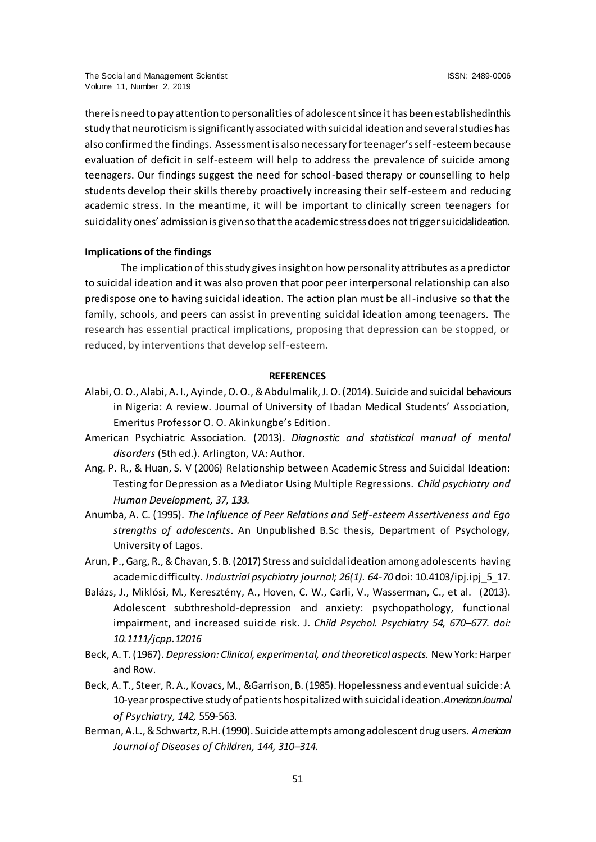there is need to pay attention to personalities of adolescent since it has been established in this study that neuroticism is significantly associated with suicidal ideation and several studies has also confirmed the findings. Assessment is also necessary for teenager's self-esteem because evaluation of deficit in self-esteem will help to address the prevalence of suicide among teenagers. Our findings suggest the need for school-based therapy or counselling to help students develop their skills thereby proactively increasing their self-esteem and reducing academic stress. In the meantime, it will be important to clinically screen teenagers for suicidality ones' admission is given so that the academic stress does not trigger suicidal ideation.

#### **Implications of the findings**

The implication of this study gives insight on how personality attributes as a predictor to suicidal ideation and it was also proven that poor peer interpersonal relationship can also predispose one to having suicidal ideation. The action plan must be all-inclusive so that the family, schools, and peers can assist in preventing suicidal ideation among teenagers. The research has essential practical implications, proposing that depression can be stopped, or reduced, by interventions that develop self-esteem.

#### **REFERENCES**

- Alabi, O. O., Alabi, A. I., Ayinde, O. O., & Abdulmalik, J. O. (2014). Suicide and suicidal behaviours in Nigeria: A review. Journal of University of Ibadan Medical Students' Association, Emeritus Professor O. O. Akinkungbe's Edition.
- American Psychiatric Association. (2013). *Diagnostic and statistical manual of mental disorders* (5th ed.). Arlington, VA: Author.
- Ang. P. R., & Huan, S. V (2006) Relationship between Academic Stress and Suicidal Ideation: Testing for Depression as a Mediator Using Multiple Regressions. *Child psychiatry and Human Development, 37, 133.*
- Anumba, A. C. (1995). *The Influence of Peer Relations and Self-esteem Assertiveness and Ego strengths of adolescents*. An Unpublished B.Sc thesis, Department of Psychology, University of Lagos.
- Arun, P., Garg, R., & Chavan, S. B. (2017) Stress and suicidal ideation among adolescents having academic difficulty. *Industrial psychiatry journal; 26(1). 64-70* doi: 10.4103/ipj.ipj 5\_17.
- Balázs, J., Miklósi, M., Keresztény, A., Hoven, C. W., Carli, V., Wasserman, C., et al. (2013). Adolescent subthreshold-depression and anxiety: psychopathology, functional impairment, and increased suicide risk. J. *Child Psychol. Psychiatry 54, 670–677. doi: 10.1111/jcpp.12016*
- Beck, A. T. (1967). *Depression: Clinical, experimental, and theoretical aspects.* New York: Harper and Row.
- Beck, A. T., Steer, R. A., Kovacs, M., &Garrison, B. (1985). Hopelessness and eventual suicide: A 10-year prospective study of patients hospitalized with suicidal ideation. *American Journal of Psychiatry, 142,* 559-563.
- Berman, A.L., & Schwartz, R.H. (1990). Suicide attempts among adolescent drug users. *American Journal of Diseases of Children, 144, 310–314.*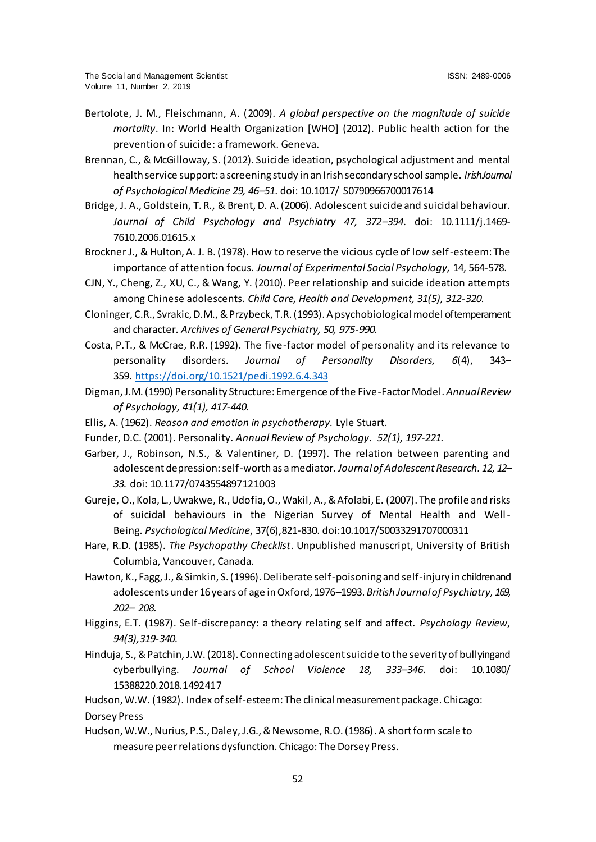- Bertolote, J. M., Fleischmann, A. (2009). *A global perspective on the magnitude of suicide mortality*. In: World Health Organization [WHO] (2012). Public health action for the prevention of suicide: a framework. Geneva.
- Brennan, C., & McGilloway, S. (2012). Suicide ideation, psychological adjustment and mental health service support: a screening study in an Irish secondary school sample. *Irish Journal of Psychological Medicine 29, 46–51*. doi: 10.1017/ S0790966700017614
- Bridge, J. A., Goldstein, T. R., & Brent, D. A. (2006). Adolescent suicide and suicidal behaviour. *Journal of Child Psychology and Psychiatry 47, 372–394*. doi: 10.1111/j.1469- 7610.2006.01615.x
- Brockner J., & Hulton, A. J. B. (1978). How to reserve the vicious cycle of low self-esteem: The importance of attention focus. *Journal of Experimental Social Psychology,* 14, 564-578.
- CJN, Y., Cheng, Z., XU, C., & Wang, Y. (2010). Peer relationship and suicide ideation attempts among Chinese adolescents. *Child Care, Health and Development, 31(5), 312-320.*
- Cloninger, C.R., Svrakic, D.M., & Przybeck, T.R. (1993). A psychobiological model of temperament and character. *Archives of General Psychiatry, 50, 975-990.*
- Costa, P.T., & McCrae, R.R. (1992). The five-factor model of personality and its relevance to personality disorders. *Journal of Personality Disorders, 6*(4), 343– 359. [https://doi.org/10.1521/pedi.1992.6.4.343](https://psycnet.apa.org/doi/10.1521/pedi.1992.6.4.343)
- Digman, J.M. (1990) [Personality Structure: Emergence of the Five-Factor Model](https://www.annualreviews.org/doi/abs/10.1146/annurev.ps.41.020190.002221). *Annual Review of Psychology, 41(1), 417-440.*
- Ellis, A. (1962). *Reason and emotion in psychotherapy.* Lyle Stuart.
- Funder, D.C. (2001). Personality. *Annual Review of Psychology. 52(1), 197-221.*
- Garber, J., Robinson, N.S., & Valentiner, D. (1997). The relation between parenting and adolescent depression: self-worth as a mediator. *Journal of Adolescent Research. 12, 12– 33.* doi: 10.1177/0743554897121003
- Gureje, O., Kola, L., Uwakwe, R., Udofia, O., Wakil, A., & Afolabi, E. (2007). The profile and risks of suicidal behaviours in the Nigerian Survey of Mental Health and Well-Being. *Psychological Medicine*, 37(6),821-830. doi:10.1017/S0033291707000311
- Hare, R.D. (1985). *The Psychopathy Checklist*. Unpublished manuscript, University of British Columbia, Vancouver, Canada.
- Hawton, K., Fagg, J., & Simkin, S. (1996). Deliberate self-poisoning and self-injury in children and adolescents under 16 years of age in Oxford, 1976–1993. *British Journal of Psychiatry, 169, 202– 208.*
- Higgins, E.T. (1987). Self-discrepancy: a theory relating self and affect. *Psychology Review, 94(3),319-340.*
- Hinduja, S., & Patchin, J.W. (2018). Connecting adolescent suicide to the severity of bullying and cyberbullying. *Journal of School Violence 18, 333–346*. doi: 10.1080/ 15388220.2018.1492417
- Hudson, W.W. (1982). Index of self-esteem: The clinical measurement package. Chicago: Dorsey Press
- Hudson, W.W., Nurius, P.S., Daley, J.G., & Newsome, R.O. (1986). A short form scale to measure peer relations dysfunction. Chicago: The Dorsey Press.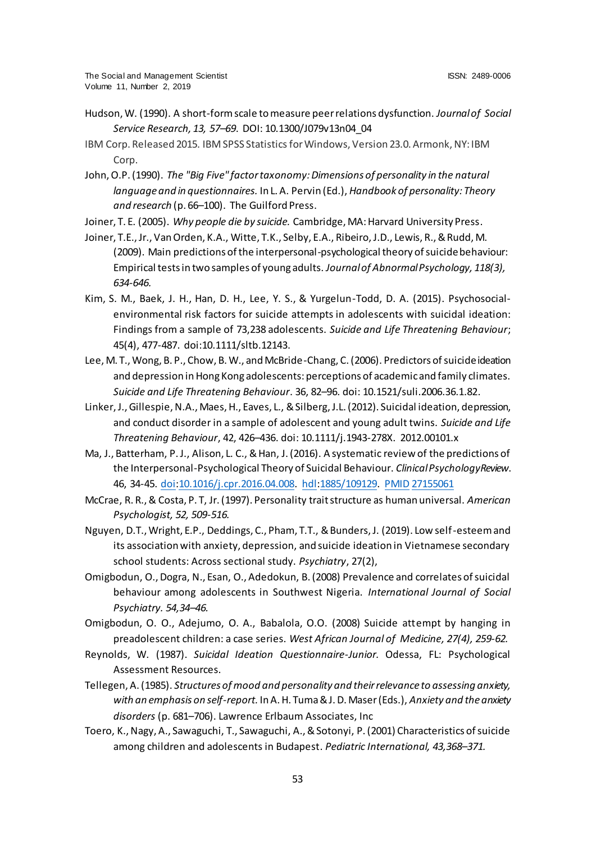- Hudson, W. (1990). A short-form scale to measure peer relations dysfunction. *Journal of Social Service Research, 13, 57–69*. DOI: 10.1300/J079v13n04\_04
- IBM Corp. Released 2015. IBM SPSS Statisticsfor Windows, Version 23.0. Armonk, NY: IBM Corp.
- John, O.P. (1990). *The "Big Five" factor taxonomy: Dimensions of personality in the natural language and in questionnaires.* In L. A. Pervin (Ed.), *Handbook of personality: Theory and research* (p. 66–100). The Guilford Press.
- Joiner, T. E. (2005). *Why people die by suicide.* Cambridge, MA: Harvard University Press.
- Joiner, T.E., Jr., Van Orden, K.A., Witte, T.K., Selby, E.A., Ribeiro,J.D., Lewis, R.,& Rudd, M. (2009). Main predictions of the interpersonal-psychological theory of suicide behaviour: Empirical tests in two samples of young adults. *Journal of Abnormal Psychology, 118(3), 634-646.*
- Kim, S. M., Baek, J. H., Han, D. H., Lee, Y. S., & Yurgelun-Todd, D. A. (2015). Psychosocialenvironmental risk factors for suicide attempts in adolescents with suicidal ideation: Findings from a sample of 73,238 adolescents. *Suicide and Life Threatening Behaviour*; 45(4), 477-487. doi:10.1111/sltb.12143.
- Lee, M. T., Wong, B. P., Chow, B. W., and McBride-Chang, C. (2006). Predictors of suicide ideation and depression in Hong Kong adolescents: perceptions of academic and family climates. *Suicide and Life Threatening Behaviour*. 36, 82–96. doi: 10.1521/suli.2006.36.1.82.
- Linker, J., Gillespie, N.A., Maes, H., Eaves, L., & Silberg, J.L. (2012). Suicidal ideation, depression, and conduct disorder in a sample of adolescent and young adult twins. *Suicide and Life Threatening Behaviour*, 42, 426–436. doi: 10.1111/j.1943-278X. 2012.00101.x
- Ma, J., Batterham, P. J., Alison, L. C., & Han, J. (2016). A systematic review of the predictions of the Interpersonal-Psychological Theory of Suicidal Behaviour. *Clinical Psychology Review*. 46, 34-45. [doi](https://en.wikipedia.org/wiki/Doi_(identifier))[:10.1016/j.cpr.2016.04.008.](https://doi.org/10.1016%2Fj.cpr.2016.04.008) [hdl](https://en.wikipedia.org/wiki/Hdl_(identifier))[:1885/109129.](https://hdl.handle.net/1885%2F109129) [PMID](https://en.wikipedia.org/wiki/PMID_(identifier)) [27155061](https://pubmed.ncbi.nlm.nih.gov/27155061)
- McCrae, R. R., & Costa, P. T, Jr. (1997). Personality trait structure as human universal. *American Psychologist, 52, 509-516.*
- Nguyen, D.T., Wright, E.P., Deddings, C., Pham, T.T., & Bunders, J. (2019). Low self-esteem and its association with anxiety, depression, and suicide ideation in Vietnamese secondary school students: Across sectional study. *Psychiatry*, 27(2),
- Omigbodun, O., Dogra, N., Esan, O., Adedokun, B. (2008) Prevalence and correlates of suicidal behaviour among adolescents in Southwest Nigeria. *International Journal of Social Psychiatry. 54,34–46.*
- Omigbodun, O. O., Adejumo, O. A., Babalola, O.O. (2008) Suicide attempt by hanging in preadolescent children: a case series. *West African Journal of Medicine, 27(4), 259-62.*
- Reynolds, W. (1987). *Suicidal Ideation Questionnaire-Junior.* Odessa, FL: Psychological Assessment Resources.
- Tellegen, A. (1985). *Structures of mood and personality and their relevance to assessing anxiety, with an emphasis on self-report.* In A. H. Tuma & J. D. Maser (Eds.), *Anxiety and the anxiety disorders* (p. 681–706). Lawrence Erlbaum Associates, Inc
- Toero, K., Nagy, A., Sawaguchi, T., Sawaguchi, A., & Sotonyi, P. (2001) Characteristics of suicide among children and adolescents in Budapest. *Pediatric International, 43,368–371.*